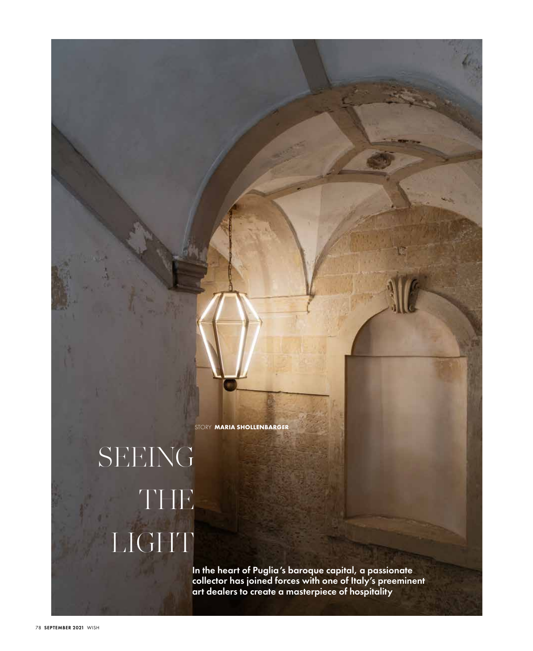STORY **MARIA SHOLLENBARGER** 

## SEEING THE LIGHT

In the heart of Puglia's baroque capital, a passionate collector has joined forces with one of Italy's preeminent art dealers to create a masterpiece of hospitality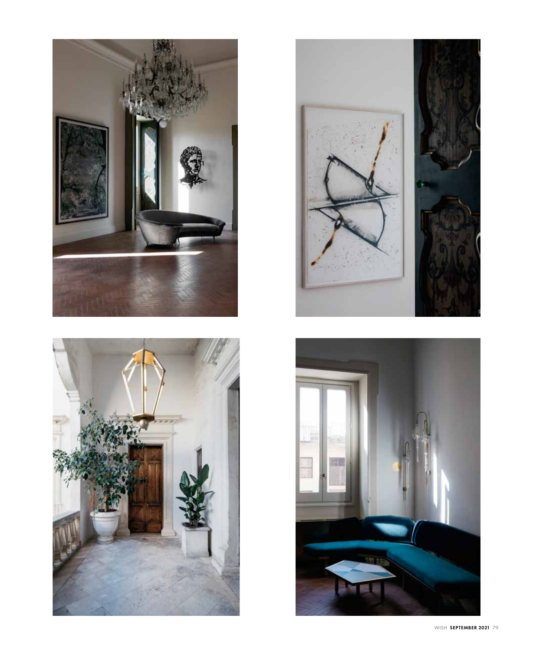





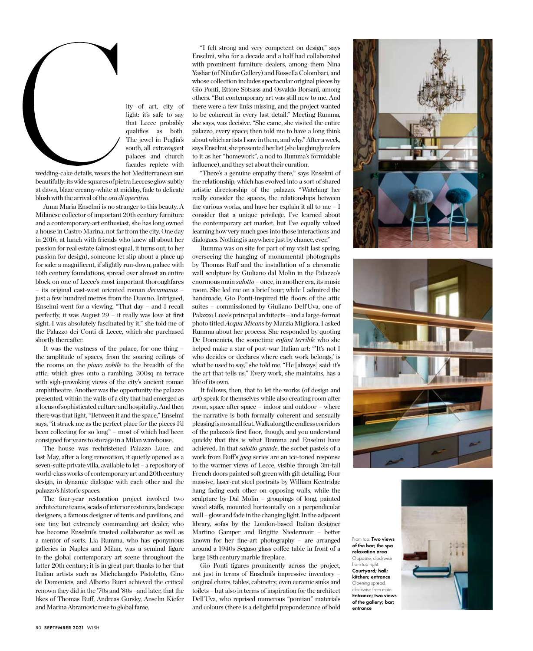ity of art, city of light: it's safe to say that Lecce probably qualifies as both. The jewel in Puglia's south, all extravagant palaces and church facades replete with

wedding-cake details, wears the hot Mediterranean sun beautifully: its wide squares of pietra Leccese glow subtly at dawn, blaze creamy-white at midday, fade to delicate blush with the arrival of the *ora di aperitivo*.

Anna Maria Enselmi is no stranger to this beauty. A Milanese collector of important 20th century furniture and a contemporary-art enthusiast, she has long owned a house in Castro Marina, not far from the city. One day in 2016, at lunch with friends who knew all about her passion for real estate (almost equal, it turns out, to her passion for design), someone let slip about a place up for sale: a magnificent, if slightly run-down, palace with 16th century foundations, spread over almost an entire block on one of Lecce's most important thoroughfares – its original east-west oriented roman *decumanus* – just a few hundred metres from the Duomo. Intrigued, Enselmi went for a viewing. "That day – and I recall perfectly, it was August 29 – it really was love at first sight. I was absolutely fascinated by it," she told me of the Palazzo dei Conti di Lecce, which she purchased shortly thereafter.

It was the vastness of the palace, for one thing – the amplitude of spaces, from the soaring ceilings of the rooms on the *piano nobile* to the breadth of the attic, which gives onto a rambling, 300sq m terrace with sigh-provoking views of the city's ancient roman amphitheatre. Another was the opportunity the palazzo presented, within the walls of a city that had emerged as a locus of sophisticated culture and hospitality. And then there was that light. "Between it and the space," Enselmi says, "it struck me as the perfect place for the pieces I'd been collecting for so long" – most of which had been consigned for years to storage in a Milan warehouse.

The house was rechristened Palazzo Luce; and last May, after a long renovation, it quietly opened as a seven-suite private villa, available to let – a repository of world-class works of contemporary art and 20th century design, in dynamic dialogue with each other and the palazzo's historic spaces.

The four-year restoration project involved two architecture teams, scads of interior restorers, landscape designers, a famous designer of tents and pavilions, and one tiny but extremely commanding art dealer, who has become Enselmi's trusted collaborator as well as a mentor of sorts. Lia Rumma, who has eponymous galleries in Naples and Milan, was a seminal figure in the global contemporary art scene throughout the latter 20th century; it is in great part thanks to her that Italian artists such as Michelangelo Pistoletto, Gino de Domenicis, and Alberto Burri achieved the critical renown they did in the '70s and '80s –and later, that the likes of Thomas Ruff, Andreas Gursky, Anselm Kiefer and Marina Abramovic rose to global fame.

"I felt strong and very competent on design," says Enselmi, who for a decade and a half had collaborated with prominent furniture dealers, among them Nina Yashar (of Nilufar Gallery) and Rossella Colombari, and whose collection includes spectacular original pieces by Gio Ponti, Ettore Sotsass and Osvaldo Borsani, among others. "But contemporary art was still new to me. And there were a few links missing, and the project wanted to be coherent in every last detail." Meeting Rumma, she says, was decisive. "She came, she visited the entire palazzo, every space; then told me to have a long think about which artists I saw in them, and why." After a week, says Enselmi, she presented her list (she laughingly refers to it as her "homework", a nod to Rumma's formidable influence), and they set about their curation.

"There's a genuine empathy there," says Enselmi of the relationship, which has evolved into a sort of shared artistic directorship of the palazzo. "Watching her really consider the spaces, the relationships between the various works, and have her explain it all to me – I consider that a unique privilege. I've learned about the contemporary art market, but I've equally valued learning how very much goes into those interactions and dialogues. Nothing is anywhere just by chance, ever."

Rumma was on site for part of my visit last spring, overseeing the hanging of monumental photographs by Thomas Ruff and the installation of a chromatic wall sculpture by Giuliano dal Molin in the Palazzo's enormous main *salotto* – once, in another era, its music room. She led me on a brief tour; while I admired the handmade, Gio Ponti-inspired tile floors of the attic suites – commissioned by Giuliano Dell'Uva, one of Palazzo Luce's principal architects—and a large-format photo titled *Acqua Micans* by Marzia Migliora, I asked Rumma about her process. She responded by quoting De Domenicis, the sometime *enfant terrible* who she helped make a star of post-war Italian art: "'It's not I who decides or declares where each work belongs,' is what he used to say," she told me. "He [always] said: it's the art that tells us." Every work, she maintains, has a life of its own.

It follows, then, that to let the works (of design and art) speak for themselves while also creating room after room, space after space – indoor and outdoor – where the narrative is both formally coherent and sensually pleasing is no small feat. Walk along the endless corridors of the palazzo's first floor, though, and you understand quickly that this is what Rumma and Enselmi have achieved. In that *salotto grande*, the sorbet pastels of a work from Ruff's *jpeg* series are an ice-toned response to the warmer views of Lecce, visible through 3m-tall French doors painted soft green with gilt detailing. Four massive, laser-cut steel portraits by William Kentridge hang facing each other on opposing walls, while the sculpture by Dal Molin – groupings of long, painted wood staffs, mounted horizontally on a perpendicular wall – glow and fade in the changing light. In the adjacent library, sofas by the London-based Italian designer Martino Gamper and Brigitte Niedermair – better known for her fine-art photography – are arranged around a 1940s Seguso glass coffee table in front of a large 18th century marble fireplace.

Gio Ponti figures prominently across the project, not just in terms of Enselmi's impressive inventory – original chairs, tables, cabinetry, even ceramic sinks and toilets – but also in terms of inspiration for the architect Dell'Uva, who reprised numerous "pontian" materials and colours (there is a delightful preponderance of bold





From top: Two views of the bar; the spa relaxation area Opposite, clockwise om top right Courtyard; hall; kitchen; entrance Opening spread, clockwise from main: Entrance; two views of the gallery; bar; entrance